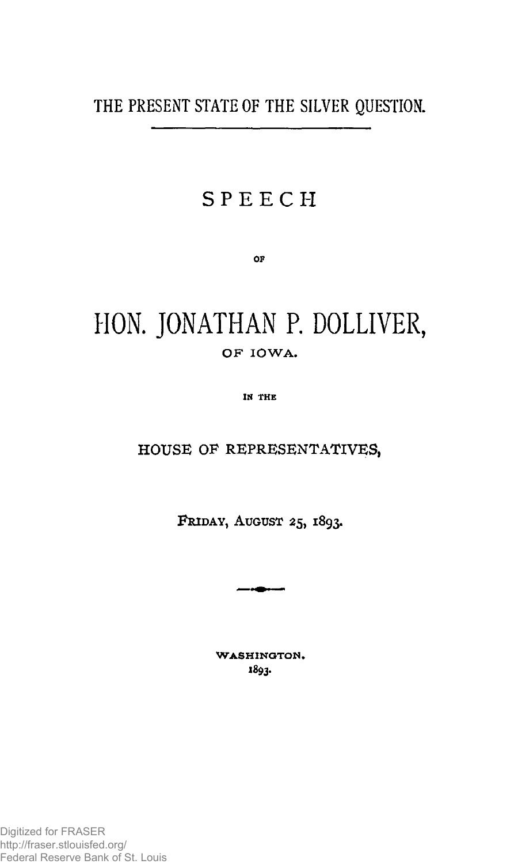**THE PRESENT STATE OF THE SILVER QUESTION.** 

## **SPEEC H**

**OP** 

# **HON. JONATHAN P. DOLLIVER, O F IOWA .**

**IN THE** 

**HOUSE OF REPRESENTATIVES,** 

**FRIDAY, AUGUST 25, 1893.** 

 $\sim$ 

**WASHINGTON .**  1893-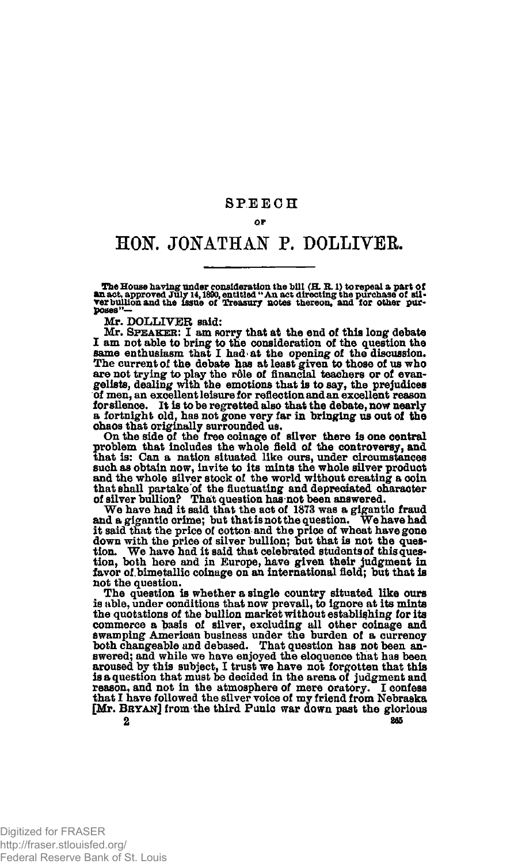### **SPEEC H**

#### **QP**

## **HOK JONATHAN P. DOLLIVER.**

The House having under consideration the bill (H. R. l) torepeal a part of<br>**An** act, approved July 14, 1890, entitled " An act directing the purchase of sil-<br>ver bullion and the 1ssue of Treasury notes thereon, and for oth **poses"—** 

**Mr. DOLLIVER said:** 

**Mr. SPEAKER: I am sorry that at the end of this long debate**  I am not able to bring to the consideration of the question the same enthusiasm that I had at the opening of the discussion. The current of the debate has at least given to those of us who are not trying to play the rôle **of men, an excellent leisure for reflection and an excellent reason forsilence. It is to be regretted also that the debate, now nearly a fortnight old, has not gone very far in bringing us out of the chaos that originally surrounded us.** 

**On the side of the free coinage of silver there is one central problem that includes the whole field of the controversy, and that is: Can a nation situated like ours, under circumstances such as obtain now, invite to its mints the whole silver product and the whole silver stock of the world without creating a coin that shall partake of the fluctuating and depreciated character of silver bullion? That question has not been answered.** 

**W e have had it said that the act of 1873 was a gigantic fraud and a gigantic crime; but that is not the question. We have had it said that the price of cotton and the price of wheat have gone down with the price of silver bullion; but that is not the ques-tion. We have had it said that celebrated students of this question, both here and in Europe, have given their judgment in favor of bimetallic coinage on an international field; but that is not the question.** 

**The question is whether a single country situated like ours is able, under conditions that now prevail, to ignore at its mints the quotations of the bullion market without establishing for its**  commerce a basis of silver, excluding all other coinage and<br>swamping American business under the burden of a currency<br>both changeable and debased. That question has not been an-<br>swered; and while we have enjoyed the eloque **aroused by this subject, I trust we have not forgotten that this is a question that must be decided in the arena of judgment and reason, and not in the atmosphere of mere oratory. I confess that I have followed the silver voice of my friend from Nebraska [Mr. BRYAN] from the third Punic war down past the glorious**   $2$  205

Digitized for FRASER http://fraser.stlouisfed.org/ Federal Reserve Bank of St. Louis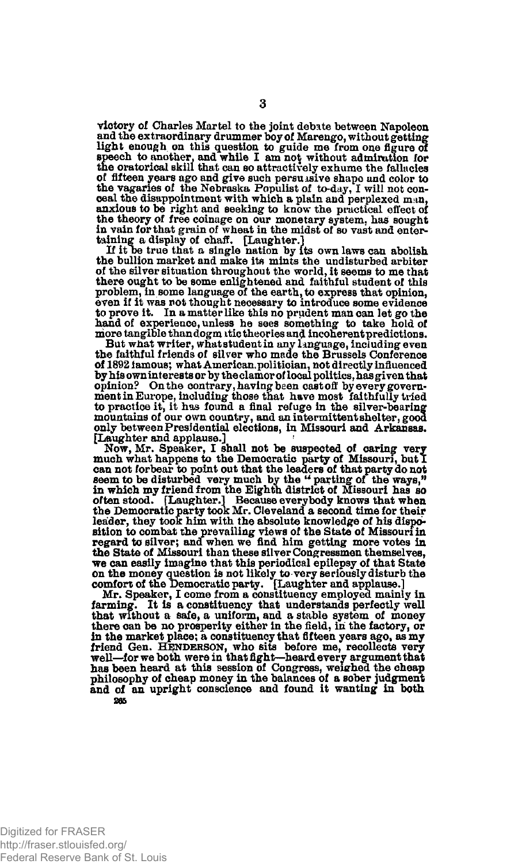**victory of Charles Martel to the joint debate between Napoleon and the extraordinary drummer boy of Marengo, without getting light enough on this question to guide me from one figure of speech to another, and while I am not without admimtlon for the oratorical skill that can so attractively exhume the fallacies of fifteen years ago and give such persuasive shape and color to the vagaries of the Nebraska Populist of to-day, I will not conceal the disappointment with which a plain and perplexed man, anxious to be right and seeking to know the practical effect of the theory of free coinage on our monetary system, has sought in vain for that grain of wheat in the midst of so vast and enter-**

**taining? a display of chaff. [Laughter.] If it oe true that a single nation by its own laws can abolish the bullion market and make its mints the undisturbed arbiter of the silver situation throughout the world, it seems to me that there ought to be some enlightened and faithful student of this problem, in some language of the earth, to express that opinion, even if it was not thought necessary to introduce some evidence to prove it. In a matter like this no prudent man can let go the hand of experience, unless he sees something to take hold of more tangible thandogm itic theories and incoherent predictions. But what writer, what student in any language, including even** 

**the faithful friends of silver who made the Brussels Conference of 1892 famous; what American, politician, not directly influenced by his own interests or by the clamor of local politics, has given that opinion? On the contrary, having been cast off by every govern-ment in Europe, including those that have most faithfully tried to practice it, it has found a final refuge in the silver-bearing mountains of our own country, and an intermittent shelter, good only between Presidential elections, in Missouri and Arkansas. [Laughter and applause.]** 

**Now, Mr. Speaker, I shall not be suspected of caring very much what happens to the Democratic party of Missouri, but 1 can not forbear to point out that the leaders of that party do not**  seem to be disturbed very much by the " parting of the ways," **in which my friend from the Eighth district of Missouri has so often stood. [Laughter.] Because everybody knows that when the Democratic party took Mr. Cleveland a second time for their leader, they took him with the absolute knowledge of his disposition to combat the prevailing views of the State of Missouri in regard to silver; and when we find him getting more votes in the State of Missouri than these silver Congressmen themselves, we can easily imagine that this periodical epilepsy of that State on the money question is not likely to-very seriously disturb the comfort of the Democratic party. [Laughter and applause.]** 

**Mr. Speaker, I come from a constituency employed mainly in farming. It is a constituency that understands perfectly well that without a safe, a uniform, and a stable system of money there can be no prosperity either in the field, in the factory, or in the market place; a constituency that fifteen years ago, as my friend Gen. HENDERSON, who sits before me, recollects very well—for we both were in that fight—heard every argument that has been heard at this session of Congress, weisrhed the cheap philosophy of cheap money in the balances of a sober judgment and of an upright conscience and found it wanting in both 865**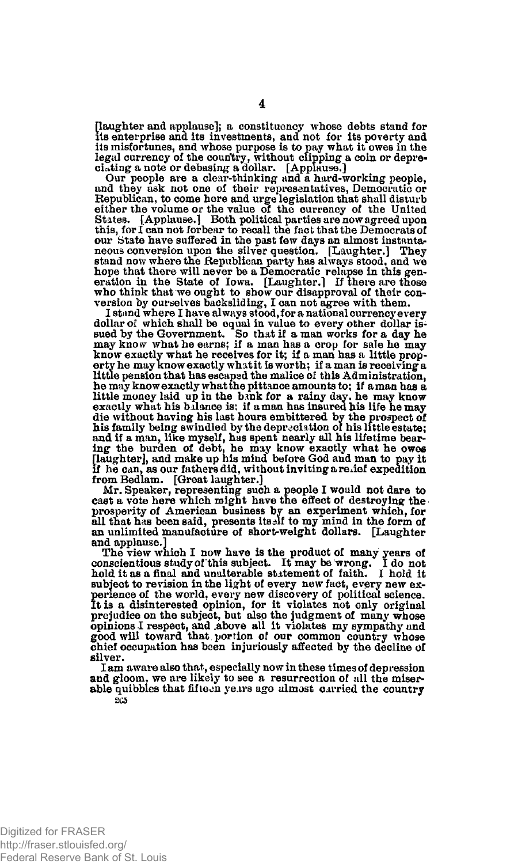**[laughter and applause]; a constituency whose debts stand for its enterprise and its investments, and not for its poverty and its misfortunes, and whose purpose is to pay what it owes in the legal currency of the country, without clipping a coin or depre-ciating a note or debasing a dollar. [Applause.]** 

**Our people are a clear-thinking and a hard-working people, and they ask not one of their representatives, Democratic or Republican, to come here and urge legislation that shall disturb either the volume or the value of the currency of the United States. [Applause.] Both political parties are now agreed upon this, fori can not forbear to recall the fact that the Democrats of our State have suffered in the past few days an almost instantaneous conversion upon the silver question. [Laughter.] They stand now where the Republican party has always stood, and we hope that there will never be a Democratic relapse in this gen-eration in the State of Iowa. [Laughter.] If there are those who think that we ought to show our disapproval of their conversion by ourselves backsliding, I can not agree with them.** 

**I stand where I have always stood, for a national currency every dollar of which shall be equal in value to every other dollar issued by the Government. So that if a man works for a day he may know what he earns; if a man has a crop for sale he may know exactly what he receives for it; if a man has a little property he may know exactly what it is worth: if a man is receiving a little pension that has escaped the malice of this Administration, he may know exactly what the pittance amounts to; if a man has a little money laid up in the bank for a rainy day. he may know exactly what his balance is; if a man has insured his life he may die without having his last hours embittered by the prospect of his family being swindled by the depreciation of his little estate; and if a man, like myself, has spent nearly all his lifetime bear-ing the burden of debt, he may know exactly what he owes [laughter], and make up his mind before God and man to pay it if he can, as our fathers did, without inviting a relief expedition from Bedlam. [Great laughter.]** 

**Mr. Speaker, representing such a people I would not dare to cast a vote here which might have the effect of destroying the prosperity of American business by an experiment which, for all that has been said, presents itself to my mind in the form of an unlimited manufacture of short-weight dollars. [Laughter and applause.]** 

In applause.<sub>1</sub><br>The view which I now have is the product of many years of<br>procientious study of this subject. It may be wrong. I do not **conscientious study of this subject. It may be wrong. I do not hold it as a final and unalterable statement of faith. I hold it subject to revision in the light of every new fact, every new experience of the world, every new discovery of political science.**  It is a disinterested opinion, for it violates not only original<br>prejudice on the subject, but also the judgment of many whose<br>opinions I respect, and above all it violates my sympathy und<br>good will toward that portion of **chief occupation has been injuriously affected by the decline of silver.** 

**I am aware also that , especially now in these times of depression and gloom, we are likely to see a resurrection of all the miserable quibbles that fifteen years ago almost carried the country 205**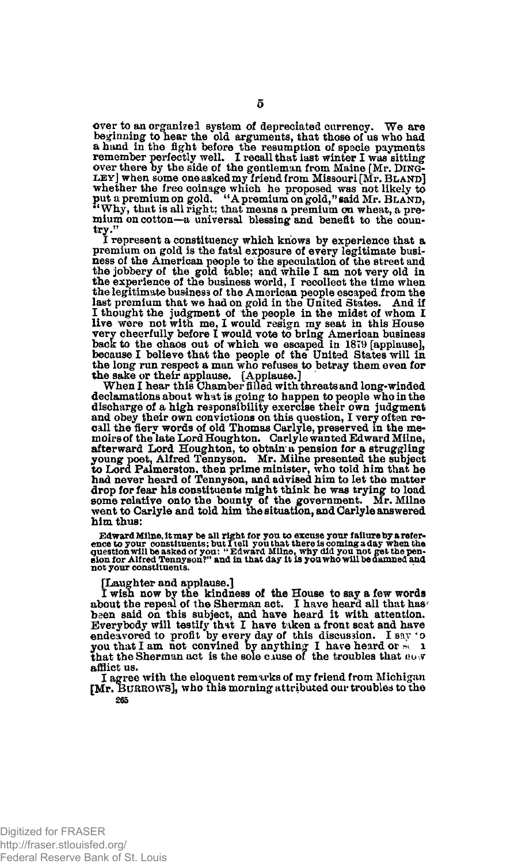**over to an organized system of depreciated currency. We are beginning to hear the old arguments, that those of us who had a hand in the fight before the resumption of specie payments remember perfectly well. I recall that last winter I was sitting over there by the side of the gentleman from Maine [Mr. DING-**LEY] when some one asked my Iriend from Missouri [Mr. BLAND]<br>whether the free coinage which he proposed was not likely to<br>put a premium on gold. "A premium on gold,"said Mr. BLAND,<br>"Why, that is all right; that means a pre **mium on cotton—a universal blessing and benefit to the country."** 

**I represent a constituency which knows by experience that a premium on gold is the fatal exposure of every legitimate business of the American people to the speculation of the street and the jobbery of the gold table; and while I am not very old in the experience of the business world, I recollect the time when the legitimate business of the American people escaped from the last premium that we had on gold in the United States. And if**  I thought the judgment of the people in the midst of whom I<br>live were not with me, I would resign my seat in this House<br>very cheerfully before I would vote to bring American business<br>back to the chaos out of which we escap **because I believe that the people of the United States will in the long run respect a man who refuses to betray them even for the sake or their applause. [Applause.] When I hear this Chamber filled with threats and long-winded** 

**declamations about what is going to happen to people who in the discharge of a high responsibility exercise their own judgment and obey their own convictions on this question, I very often recall the fiery words of old Thomas Carlyle, preserved in the memoirs of the'late Lord Houghton. Carlyle wanted Edward Milne, afterward Lord Houghton, to obtain a pension for a struggling young poet, Alfred Tennyson. Mr. Milne presented the subject to Lord Palmerston, then prime minister, who told him that he had never heard of Tennyson, and advised him to let the matter drop for fear his constituents might think he was trying to load some relative onto the bounty of the government. Mr. Milne went to Carlyle and told him the situation, and Carlyle answered him thus:** 

Edward Milne, it may be all right for you to excuse your failure by a reference to your constituents; but I tell you that there is coming a day when the puestion with the perception with the perception will be asked of you **not your constituents.** 

#### **[Laughter and applause.]**

I wish now by the kindness of the House to say a few words<br>about the repeal of the Sherman act. I have heard all that has<br>been said on this subject, and have heard it with attention. **Everybody will testify thit I have taken a front seat and have**  endeavored to profit by every day of this discussion. I say 'o you that I am not convined by anything I have heard or  $\leq 1$  that the Sherman act is the sole cluse of the troubles that abor **afflict us.** 

**I agree with the eloquent remarks of my friend from Michigan [Mr. BURROWS], who this morning attributed our troubles to the 265**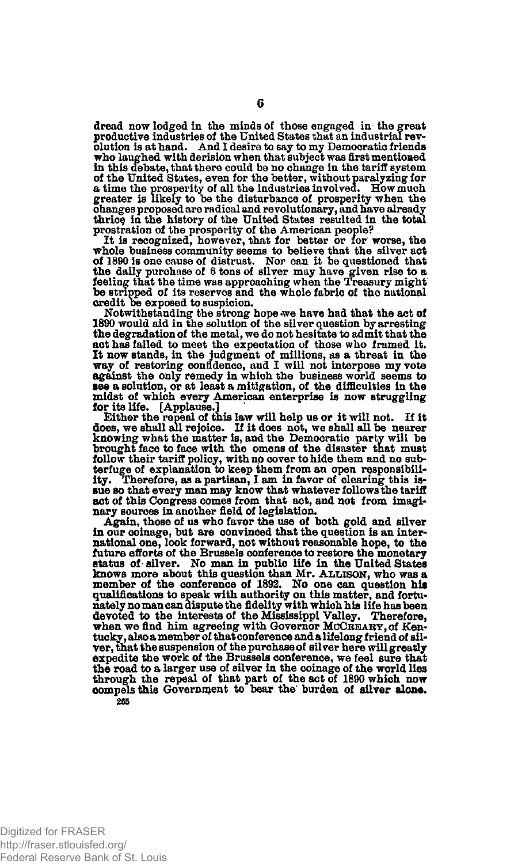**dread now lodged in the minds of those engaged in the great productive industries of the United States that an industrial revolution is at hand. And I desire to say to my Democratic friends who laughed with derision when that subject was first mentioned in this debate, that there could be no change in the tariff system of the United States, even for the better, without paralyzing for a time the prosperity of all the industries involved. How much greater is likely to be the disturbance of prosperity when the changes proposed are radical and revolutionary, and have already**  thrice in the history of the United States resulted in the total

**prostration of the prosperity of the American people? It is recognized, however, that for better or for worse, the whole business community seems to believe that the silver act of 1890 is one cause of distrust. Nor can it be questioned that the daily purchase of 6 tons of silver may have given rise to a feeling that the time was approaching when the Treasury might be stripped of its reserves and the whole fabric of the national credit be exposed to suspicion.** 

**Notwithstanding the strong hope .we have had that the act of 1890 would aid in the solution of the silver question by arresting the degradation of the metal, we do not hesitate to admit that the act has failed to meet the expectation of those who framed it. It now stands, in the judgment of millions, as a threat in the way of restoring confidence, and I will not interpose my vote against the only remedy in which the business world seems to see a solution, or at least a mitigation, of the difficulties in the midst of which every American enterprise is now struggling for its life. [Applause.]** 

**Either the repeal of this law will help us or it will not. If it does, we shall all rejoice. If it does not, we shall all be nearer knowing what the matter is, and the Democratic party will be brought face to face with the omens of the disaster that must follow their tariff policy, with no cover to hide them and no subterfuge of explanation to keep them from an open responsibili**ity. Therefore, as a partisan, I am in favor of clearing this is**sue so that every man may know that whatever follows the tariff act of this Congress comes from that act, and not from imaginary sources in another field of legislation.** 

**Again, those of us who favor the use of both gold and silver in our coinage, but are convinced that the question is an international one, look forward, not without reasonable hope, to the future efforts of the Brussels conference to restore the monetary status of silver. No man in public life in the United States knows more about this question than Mr. ALLISON, who was a member of the conference of 1892. No one can question his qualifications to speak with authority on this matter, and fortunately no man can dispute the fidelity with which his life has been devoted to the interests of the Mississippi Valley. Therefore,**  when we find him agreeing with Governor MCCREARY, of Ken**tucky, also a member of that conference and a lifelong friend of silver, that the suspension of the purchase of silver here will greatly expedite the work of the Brussels conference, we feel sure that the road to a larger use of silver in the coinage of the world lies through the repeal of that part of the act of 1890 which now oompels this Government to bear the burden of silver alone. 265**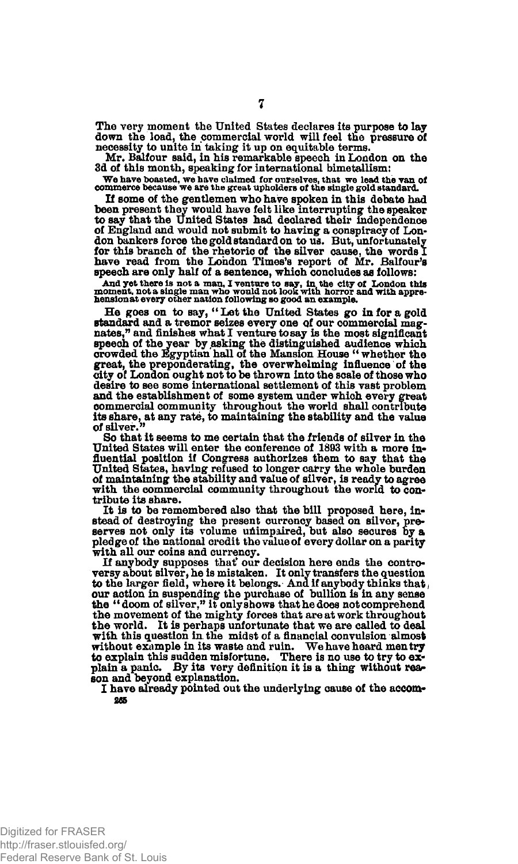**The very moment the United States declares its purpose to lay down the load, the commercial world will feel the pressure of necessity to unite in taking it up on equitable terms.** 

Mr. Balfour said, in his remarkable speech in London on the **3d of this month, speaking for international bimetallism:** 

**We have boasted, we have claimed for ourselves, that we lead the van of commerce because we are the great upholders of the single gold standard.** 

**If some of the gentlemen who have spoken in this debate had been present they would have felt like interrupting the speaker to say that the United States had declared their independence of England and would not submit to having a conspiracy of Lon-don bankers force the gold standard on to us. But, unfortunately for this branch of the rhetoric of the silver cause, the words 1**  have read from the London Times's report of Mr. Balfour's **speech are only half of a sentence, which concludes as follows:** 

And yet there is not a man, I venture to say, in the city of London this<br>moment, not a single man who would not look with horror and with appre-<br>hensionat every other nation following so good an example.

He goes on to say, "Let the United States go in for a gold **standard and a tremor seizes every one Qf our commercial mag-nates," and finishes what I venture to say is the most significant speech of the year by asking the distinguished audience which crowded the Egyptian hall of the Mansion House " whether the great, the preponderating, the overwhelming influence of the**  *city* **of London ought not to be thrown into the scale of those who desire to see some international settlement of this vast problem and the establishment of some system under which every great commercial community throughout the world shall contribute its share, at any rate, to maintaining the stability and the value of silver."** 

**So that it seems to me certain that the friends of silver in the United States will enter the conference of 1893 with a more in\* fluential position if Congress authorizes them to say that the United States, having refused to longer carry the whole burden of maintaining the stability and value of silver, is ready to agree**  with the commercial community throughout the world to con**tribute its share.** 

**It is to be remembered also that the bill proposed here, instead of destroying the present currency based on silver, preserves not only its volume unimpaired, but also secures by a pledge of the national credit the value of every dollar on a parity with all our coins and currency.** 

If anybody supposes that our decision here ends the contro**versy about silver, he is mistaken. It only transfers the question**  to the larger field, where it belongs. And if anybody thinks that, **our action in suspending the purchase of bullion is in any sense the "doom of silver," it only shows that he does not comprehend the movement of the mighty forces that are at work throughout the world. It is perhaps unfortunate that we are called to deal with this question in the midst of a financial convulsion almost**  without example in its waste and ruin. We have heard men try **to explain this sudden misfortune. There is no use to try to ex-** plain a panic. By its very definition it is a thing without rea**son and beyond explanation.** 

**I have already pointed out the underlying cause of the accom-865**